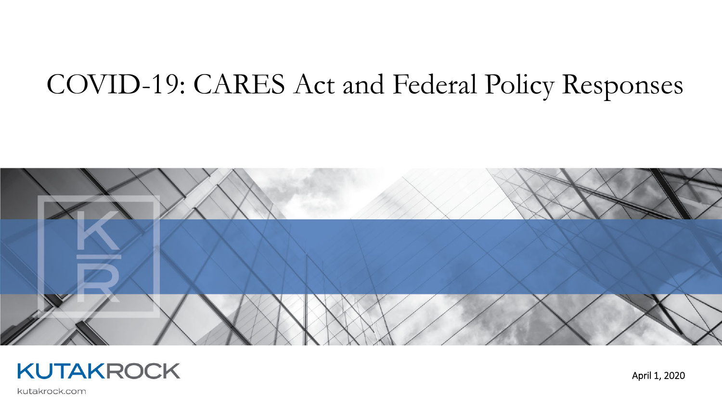# COVID-19: CARES Act and Federal Policy Responses





April 1, 2020

kutakrock.com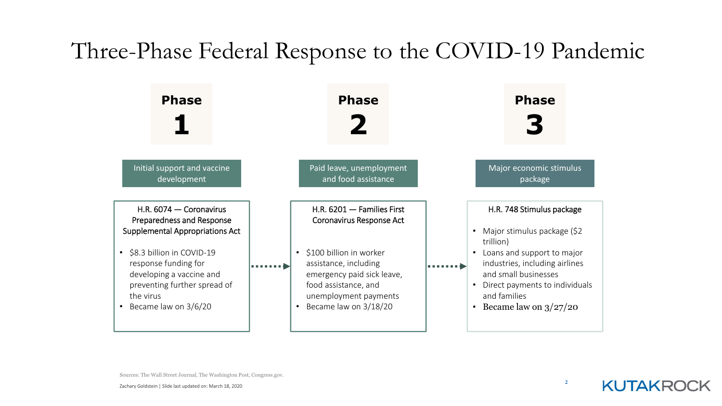## Three-Phase Federal Response to the COVID-19 Pandemic



Sources: The Wall Street Journal, The Washington Post, Congress.gov.

**KUTAKROCK**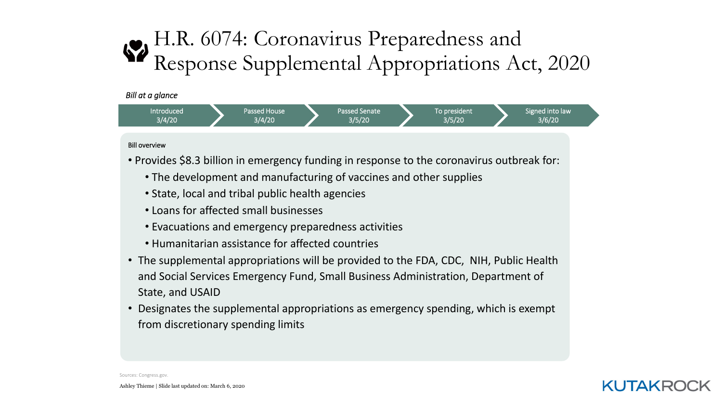### H.R. 6074: Coronavirus Preparedness and Response Supplemental Appropriations Act, 2020

![](_page_2_Figure_1.jpeg)

#### Bill overview

- Provides \$8.3 billion in emergency funding in response to the coronavirus outbreak for:
	- The development and manufacturing of vaccines and other supplies
	- State, local and tribal public health agencies
	- Loans for affected small businesses
	- Evacuations and emergency preparedness activities
	- Humanitarian assistance for affected countries
- The supplemental appropriations will be provided to the FDA, CDC, NIH, Public Health and Social Services Emergency Fund, Small Business Administration, Department of State, and USAID
- Designates the supplemental appropriations as emergency spending, which is exempt from discretionary spending limits

![](_page_2_Picture_11.jpeg)

Sources: Congress.gov.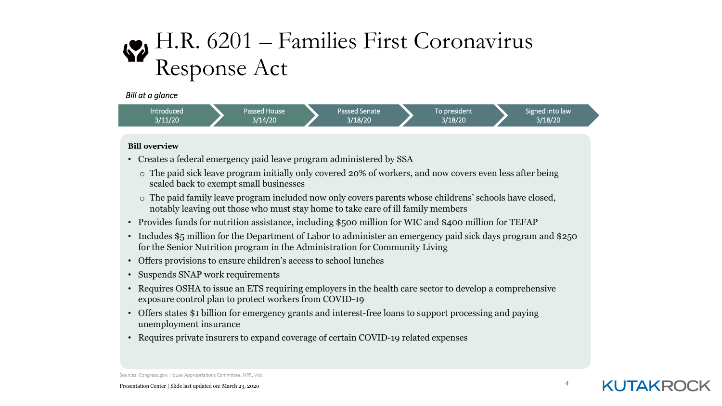# H.R. 6201 – Families First Coronavirus Response Act

*Bill at <sup>a</sup> glance*

![](_page_3_Figure_2.jpeg)

#### **Bill overview**

- Creates a federal emergency paid leave program administered by SSA
	- o The paid sick leave program initially only covered 20% of workers, and now covers even less after being scaled back to exempt small businesses
	- o The paid family leave program included now only covers parents whose childrens' schools have closed, notably leaving out those who must stay home to take care of ill family members
- Provides funds for nutrition assistance, including \$500 million for WIC and \$400 million for TEFAP
- Includes \$5 million for the Department of Labor to administer an emergency paid sick days program and \$250 for the Senior Nutrition program in the Administration for Community Living
- Offers provisions to ensure children's access to school lunches
- Suspends SNAP work requirements
- Requires OSHA to issue an ETS requiring employers in the health care sector to develop a comprehensive exposure control plan to protect workers from COVID-19
- Offers states \$1 billion for emergency grants and interest-free loans to support processing and paying unemployment insurance
- Requires private insurers to expand coverage of certain COVID-19 related expenses

Sources: Congress.gov; House Appropriations Committee, NPR, Vox.

**KUTAKRO**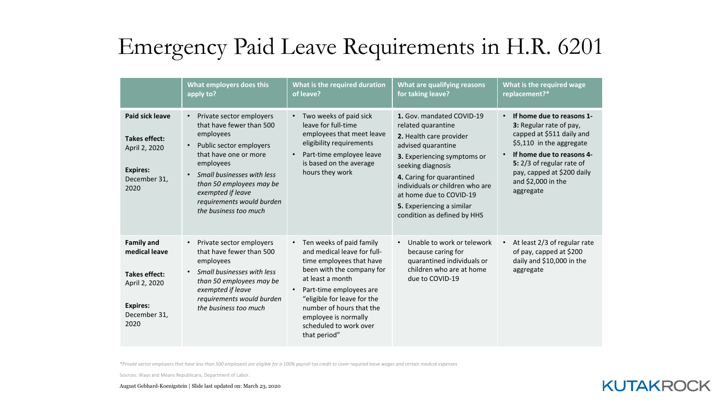# Emergency Paid Leave Requirements in H.R. 6201

|                                                                                                                 | What employers does this<br>apply to?                                                                                                                                                                                                                                                                          | What is the required duration<br>of leave?                                                                                                                                                                                                                                                     | What are qualifying reasons<br>for taking leave?                                                                                                                                                                                                                                                            | What is the required wage<br>replacement?*                                                                                                                                                                                                            |
|-----------------------------------------------------------------------------------------------------------------|----------------------------------------------------------------------------------------------------------------------------------------------------------------------------------------------------------------------------------------------------------------------------------------------------------------|------------------------------------------------------------------------------------------------------------------------------------------------------------------------------------------------------------------------------------------------------------------------------------------------|-------------------------------------------------------------------------------------------------------------------------------------------------------------------------------------------------------------------------------------------------------------------------------------------------------------|-------------------------------------------------------------------------------------------------------------------------------------------------------------------------------------------------------------------------------------------------------|
| Paid sick leave<br><b>Takes effect:</b><br>April 2, 2020<br><b>Expires:</b><br>December 31,<br>2020             | Private sector employers<br>$\bullet$<br>that have fewer than 500<br>employees<br>Public sector employers<br>$\bullet$<br>that have one or more<br>employees<br>Small businesses with less<br>$\bullet$<br>than 50 employees may be<br>exempted if leave<br>requirements would burden<br>the business too much | • Two weeks of paid sick<br>leave for full-time<br>employees that meet leave<br>eligibility requirements<br>Part-time employee leave<br>is based on the average<br>hours they work                                                                                                             | 1. Gov. mandated COVID-19<br>related quarantine<br>2. Health care provider<br>advised quarantine<br>3. Experiencing symptoms or<br>seeking diagnosis<br>4. Caring for quarantined<br>individuals or children who are<br>at home due to COVID-19<br>5. Experiencing a similar<br>condition as defined by HHS | If home due to reasons 1-<br>3: Regular rate of pay,<br>capped at \$511 daily and<br>\$5,110 in the aggregate<br>If home due to reasons 4-<br>$\bullet$<br>5: 2/3 of regular rate of<br>pay, capped at \$200 daily<br>and \$2,000 in the<br>aggregate |
| <b>Family and</b><br>medical leave<br>Takes effect:<br>April 2, 2020<br><b>Expires:</b><br>December 31,<br>2020 | Private sector employers<br>$\bullet$<br>that have fewer than 500<br>employees<br>Small businesses with less<br>$\bullet$<br>than 50 employees may be<br>exempted if leave<br>requirements would burden<br>the business too much                                                                               | • Ten weeks of paid family<br>and medical leave for full-<br>time employees that have<br>been with the company for<br>at least a month<br>Part-time employees are<br>"eligible for leave for the<br>number of hours that the<br>employee is normally<br>scheduled to work over<br>that period" | Unable to work or telework<br>$\bullet$<br>because caring for<br>quarantined individuals or<br>children who are at home<br>due to COVID-19                                                                                                                                                                  | At least 2/3 of regular rate<br>of pay, capped at \$200<br>daily and \$10,000 in the<br>aggregate                                                                                                                                                     |

\*Private sector employers that have less than 500 employees are eligible for a 100% payroll tax credit to cover required leave wages and certain medical expenses

Sources: Ways and Means Republicans, Department of Labor.

### **KUTAKROCK**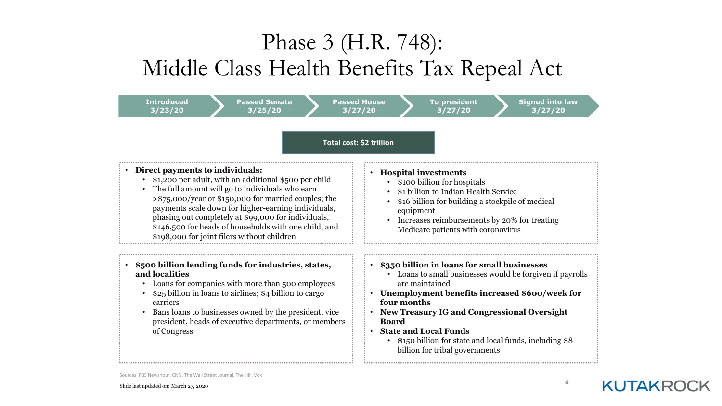## Phase 3 (H.R. 748): Middle Class Health Benefits Tax Repeal Act

| <b>Introduced</b><br><b>Passed Senate</b><br>3/23/20<br>3/25/20                                                                                                                                                                                                                                                                                                                                                                        | <b>Passed House</b><br><b>Signed into law</b><br>To president<br>3/27/20<br>3/27/20<br>3/27/20                                                                                                                                                                                                                                                                                                  |  |  |  |  |
|----------------------------------------------------------------------------------------------------------------------------------------------------------------------------------------------------------------------------------------------------------------------------------------------------------------------------------------------------------------------------------------------------------------------------------------|-------------------------------------------------------------------------------------------------------------------------------------------------------------------------------------------------------------------------------------------------------------------------------------------------------------------------------------------------------------------------------------------------|--|--|--|--|
| Total cost: \$2 trillion                                                                                                                                                                                                                                                                                                                                                                                                               |                                                                                                                                                                                                                                                                                                                                                                                                 |  |  |  |  |
| Direct payments to individuals:<br>\$1,200 per adult, with an additional \$500 per child<br>The full amount will go to individuals who earn<br>$\bullet$<br>>\$75,000/year or \$150,000 for married couples; the<br>payments scale down for higher-earning individuals,<br>phasing out completely at \$99,000 for individuals,<br>\$146,500 for heads of households with one child, and<br>\$198,000 for joint filers without children | <b>Hospital investments</b><br>$\bullet$<br>\$100 billion for hospitals<br>\$1 billion to Indian Health Service<br>\$16 billion for building a stockpile of medical<br>equipment<br>Increases reimbursements by 20% for treating<br>Medicare patients with coronavirus                                                                                                                          |  |  |  |  |
| \$500 billion lending funds for industries, states,<br>$\bullet$<br>and localities<br>Loans for companies with more than 500 employees<br>$\bullet$<br>\$25 billion in loans to airlines; \$4 billion to cargo<br>carriers<br>Bans loans to businesses owned by the president, vice<br>$\bullet$<br>president, heads of executive departments, or members<br>of Congress                                                               | \$350 billion in loans for small businesses<br>• Loans to small businesses would be forgiven if payrolls<br>are maintained<br>Unemployment benefits increased \$600/week for<br>four months<br><b>New Treasury IG and Congressional Oversight</b><br><b>Board</b><br><b>State and Local Funds</b><br>• \$150 billion for state and local funds, including \$8<br>billion for tribal governments |  |  |  |  |

![](_page_5_Picture_5.jpeg)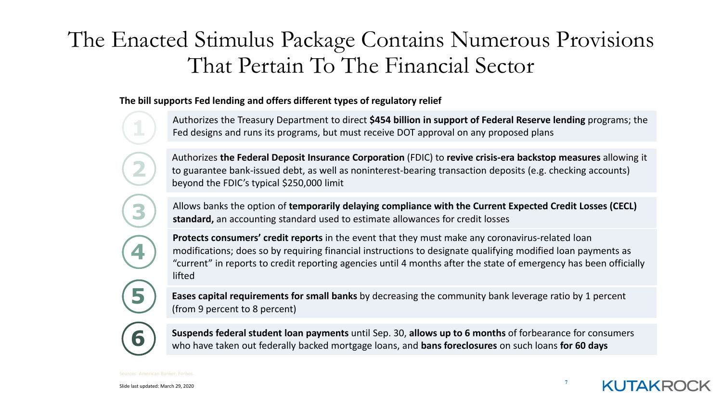### The Enacted Stimulus Package Contains Numerous Provisions That Pertain To The Financial Sector

**The bill supports Fed lending and offers different types of regulatory relief**

Authorizes the Treasury Department to direct **\$454 billion in support of Federal Reserve lending** programs; the Fed designs and runs its programs, but must receive DOT approval on any proposed plans

Authorizes **the Federal Deposit Insurance Corporation** (FDIC) to **revive crisis‐era backstop measures** allowing it to guarantee bank‐issued debt, as well as noninterest‐bearing transaction deposits (e.g. checking accounts) beyond the FDIC's typical \$250,000 limit

Allows banks the option of **temporarily delaying compliance with the Current Expected Credit Losses (CECL) standard,** an accounting standard used to estimate allowances for credit losses

**Protects consumers' credit reports** in the event that they must make any coronavirus‐related loan modifications; does so by requiring financial instructions to designate qualifying modified loan payments as "current" in reports to credit reporting agencies until 4 months after the state of emergency has been officially lifted

**Eases capital requirements for small banks** by decreasing the community bank leverage ratio by 1 percent (from 9 percent to 8 percent)

**6**

**2**

**3**

**4**

**5**

**6** Suspends federal student loan payments until Sep. 30, allows up to 6 months of forbearance for consumers<br>
who have taken out federally backed mortgage loans, and hans foreclosures on such loans for 60 days who have taken out federally backed mortgage loans, and **bans foreclosures** on such loans **for 60 days**

**KUTAKR**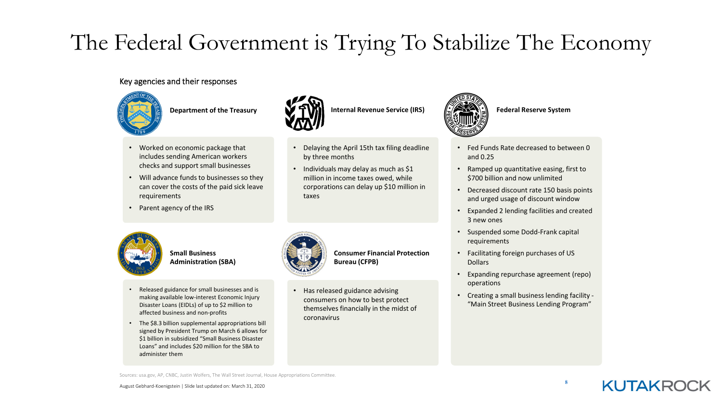# The Federal Government is Trying To Stabilize The Economy

• Delaying the April 15th tax filing deadline

• Individuals may delay as much as \$1 million in income taxes owed, while corporations can delay up \$10 million in

by three months

#### Key agencies and their responses

![](_page_7_Picture_2.jpeg)

- Worked on economic package that includes sending American workers checks and support small businesses
- Will advance funds to businesses so they can cover the costs of the paid sick leave requirements
- Parent agency of the IRS

![](_page_7_Picture_7.jpeg)

**Small BusinessAdministration (SBA)**

- Released guidance for small businesses and is making available low‐interest Economic Injury Disaster Loans (EIDLs) of up to \$2 million to affected business and non‐profits
- The \$8.3 billion supplemental appropriations bill signed by President Trump on March 6 allows for \$1 billion in subsidized "Small Business Disaster Loans" and includes \$20 million for the SBA to administer them

![](_page_7_Picture_11.jpeg)

taxes

**Consumer Financial ProtectionBureau (CFPB)**

•• Has released guidance advising consumers on how to best protect themselves financially in the midst of coronavirus

![](_page_7_Picture_14.jpeg)

**Department of the Treasury <b>IDENTIFY INTERNATION** Internal Revenue Service (IRS)  $\left(\frac{1}{2}\right)^{1/2}$  Federal Reserve System

- Fed Funds Rate decreased to between 0 and 0.25
- • Ramped up quantitative easing, first to \$700 billion and now unlimited
- Decreased discount rate 150 basis points and urged usage of discount window
- Expanded 2 lending facilities and created 3 new ones
- Suspended some Dodd‐Frank capital requirements
- Facilitating foreign purchases of US Dollars
- Expanding repurchase agreement (repo) operations
- Creating <sup>a</sup> small business lending facility ‐ "Main Street Business Lending Program"

**8**

Sources: usa.gov, AP, CNBC, Justin Wolfers, The Wall Street Journal, House Appropriations Committee.

![](_page_7_Picture_26.jpeg)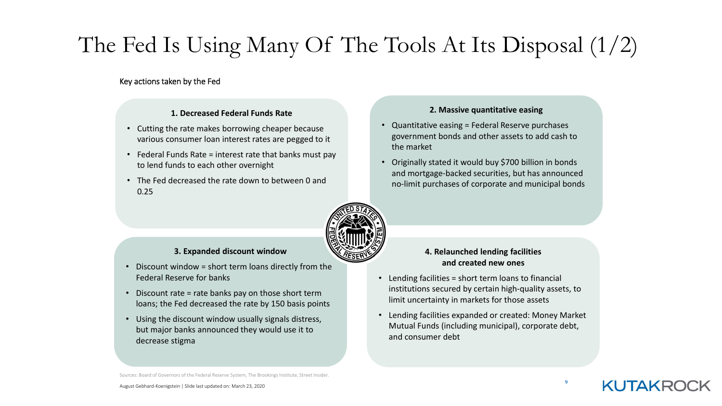# The Fed Is Using Many Of The Tools At Its Disposal (1/2)

#### Key actions taken by the Fed

#### **1. Decreased Federal Funds Rate**

- Cutting the rate makes borrowing cheaper because various consumer loan interest rates are pegged to it
- Federal Funds Rate <sup>=</sup> interest rate that banks must pay to lend funds to each other overnight
- The Fed decreased the rate down to between 0 and 0.25

#### **2. Massive quantitative easing**

- Quantitative easing <sup>=</sup> Federal Reserve purchases government bonds and other assets to add cash to the market
- Originally stated it would buy \$700 billion in bonds and mortgage‐backed securities, but has announced no‐limit purchases of corporate and municipal bonds

![](_page_8_Picture_9.jpeg)

#### **3. Expanded discount window**

- Discount window <sup>=</sup> short term loans directly from the Federal Reserve for banks
- Discount rate <sup>=</sup> rate banks pay on those short term loans; the Fed decreased the rate by 150 basis points
- Using the discount window usually signals distress, but major banks announced they would use it to decrease stigma

#### **4. Relaunched lending facilities and created new ones**

- Lending facilities <sup>=</sup> short term loans to financial institutions secured by certain high‐quality assets, to limit uncertainty in markets for those assets
- Lending facilities expanded or created: Money Market Mutual Funds (including municipal), corporate debt, and consumer debt

Sources: Board of Governors of the Federal Reserve System, The Brookings Institute, Street Insider.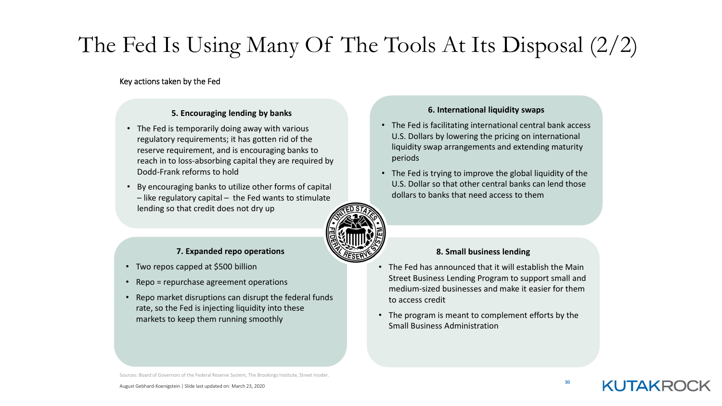# The Fed Is Using Many Of The Tools At Its Disposal (2/2)

#### Key actions taken by the Fed

#### **5. Encouraging lending by banks**

- The Fed is temporarily doing away with various regulatory requirements; it has gotten rid of the reserve requirement, and is encouraging banks to reach in to loss‐absorbing capital they are required by Dodd‐Frank reforms to hold
- By encouraging banks to utilize other forms of capital – like regulatory capital – the Fed wants to stimulate lending so that credit does not dry up

![](_page_9_Picture_5.jpeg)

#### **7. Expanded repo operations**

- Two repos capped at \$500 billion
- Repo <sup>=</sup> repurchase agreement operations
- Repo market disruptions can disrupt the federal funds rate, so the Fed is injecting liquidity into these markets to keep them running smoothly

#### **6. International liquidity swaps**

- The Fed is facilitating international central bank access U.S. Dollars by lowering the pricing on international liquidity swap arrangements and extending maturity periods
- The Fed is trying to improve the global liquidity of the U.S. Dollar so that other central banks can lend those dollars to banks that need access to them

#### **8. Small business lending**

- The Fed has announced that it will establish the Main Street Business Lending Program to support small and medium‐sized businesses and make it easier for themto access credit
- The program is meant to complement efforts by the Small Business Administration

Sources: Board of Governors of the Federal Reserve System, The Brookings Institute, Street Insider.

**10**

KUTAKRO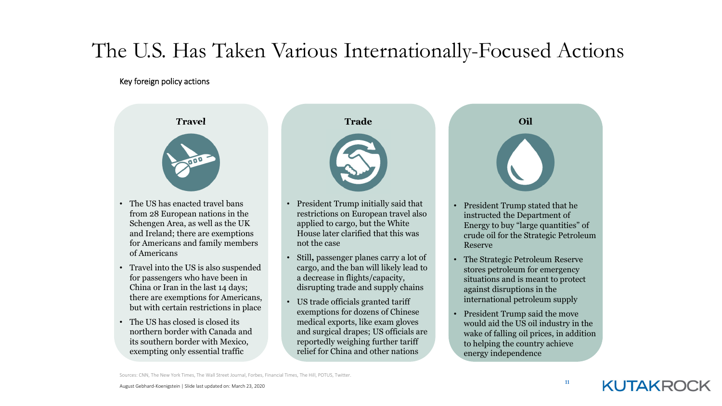### The U.S. Has Taken Various Internationally-Focused Actions

#### Key foreign policy actions

![](_page_10_Picture_2.jpeg)

- The US has enacted travel bans from 28 European nations in the Schengen Area, as well as the UK and Ireland; there are exemptions for Americans and family members of Americans
- Travel into the US is also suspended for passengers who have been in China or Iran in the last 14 days; there are exemptions for Americans, but with certain restrictions in place
- The US has closed is closed its northern border with Canada and its southern border with Mexico, exempting only essential traffic

![](_page_10_Picture_7.jpeg)

- President Trump initially said that restrictions on European travel also applied to cargo, but the White House later clarified that this was not the case
- • Still**,** passenger planes carry a lot of cargo, and the ban will likely lead to a decrease in flights/capacity, disrupting trade and supply chains
- US trade officials granted tariff exemptions for dozens of Chinese medical exports, like exam gloves and surgical drapes; US officials are reportedly weighing further tariff relief for China and other nations

![](_page_10_Picture_11.jpeg)

- President Trump stated that he instructed the Department of Energy to buy "large quantities" of crude oil for the Strategic Petroleum Reserve
- • The Strategic Petroleum Reserve stores petroleum for emergency situations and is meant to protect against disruptions in the international petroleum supply
- President Trump said the move would aid the US oil industry in the wake of falling oil prices, in addition to helping the country achieve energy independence

Sources: CNN, The New York Times, The Wall Street Journal, Forbes, Financial Times, The Hill, POTUS, Twitter.

**11**

**KUTAKROCK**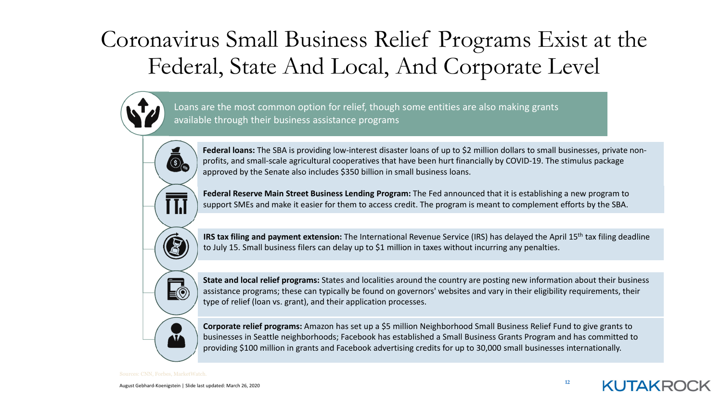# Coronavirus Small Business Relief Programs Exist at the Federal, State And Local, And Corporate Level

![](_page_11_Picture_1.jpeg)

Loans are the most common option for relief, though some entities are also making grants available through their business assistance programs

![](_page_11_Picture_3.jpeg)

**Federal loans:** The SBA is providing low‐interest disaster loans of up to \$2 million dollars to small businesses, private non‐ profits, and small‐scale agricultural cooperatives that have been hurt financially by COVID‐19. The stimulus package approved by the Senate also includes \$350 billion in small business loans.

**Federal Reserve Main Street Business Lending Program:** The Fed announced that it is establishing <sup>a</sup> new program to support SMEs and make it easier for them to access credit. The program is meant to complement efforts by the SBA.

**IRS tax filing and payment extension:** The International Revenue Service (IRS) has delayed the April 15th tax filing deadline to July 15. Small business filers can delay up to \$1 million in taxes without incurring any penalties.

**State and local relief programs:** States and localities around the country are posting new information about their business assistance programs; these can typically be found on governors' websites and vary in their eligibility requirements, their type of relief (loan vs. grant), and their application processes.

**Corporate relief programs:** Amazon has set up <sup>a</sup> \$5 million Neighborhood Small Business Relief Fund to give grants to businesses in Seattle neighborhoods; Facebook has established <sup>a</sup> Small Business Grants Program and has committed to providing \$100 million in grants and Facebook advertising credits for up to 30,000 small businesses internationally.

**12**

**KUTAKR**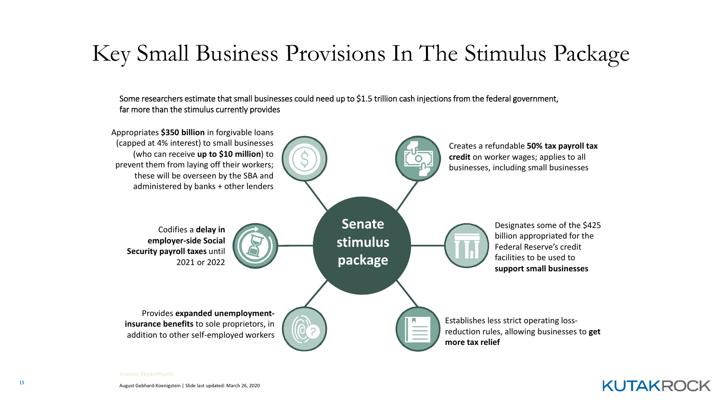## Key Small Business Provisions In The Stimulus Package

Some researchers estimate that small businesses could need up to \$1.5 trillion cash injections from the federal government, far more than the stimulus currently provides

![](_page_12_Figure_2.jpeg)

**KUTAKROCK**